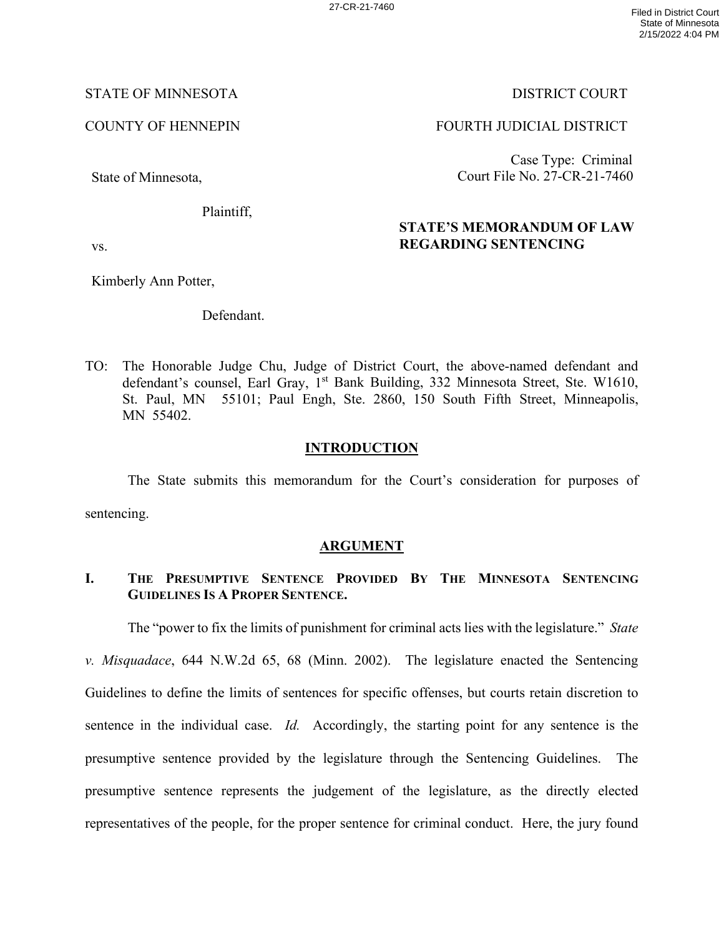### STATE OF MINNESOTA DISTRICT COURT

State of Minnesota,

Plaintiff,

## COUNTY OF HENNEPIN FOURTH JUDICIAL DISTRICT

Case Type: Criminal Court File No. 27-CR-21-7460

# **STATE'S MEMORANDUM OF LAW REGARDING SENTENCING**

vs.

Kimberly Ann Potter,

Defendant.

TO: The Honorable Judge Chu, Judge of District Court, the above-named defendant and defendant's counsel, Earl Gray, 1<sup>st</sup> Bank Building, 332 Minnesota Street, Ste. W1610, St. Paul, MN 55101; Paul Engh, Ste. 2860, 150 South Fifth Street, Minneapolis, MN 55402.

## **INTRODUCTION**

The State submits this memorandum for the Court's consideration for purposes of sentencing.

## **ARGUMENT**

# **I. THE PRESUMPTIVE SENTENCE PROVIDED BY THE MINNESOTA SENTENCING GUIDELINES IS A PROPER SENTENCE.**

The "power to fix the limits of punishment for criminal acts lies with the legislature." *State* 

*v. Misquadace*, 644 N.W.2d 65, 68 (Minn. 2002). The legislature enacted the Sentencing Guidelines to define the limits of sentences for specific offenses, but courts retain discretion to sentence in the individual case. *Id.* Accordingly, the starting point for any sentence is the presumptive sentence provided by the legislature through the Sentencing Guidelines. The presumptive sentence represents the judgement of the legislature, as the directly elected representatives of the people, for the proper sentence for criminal conduct. Here, the jury found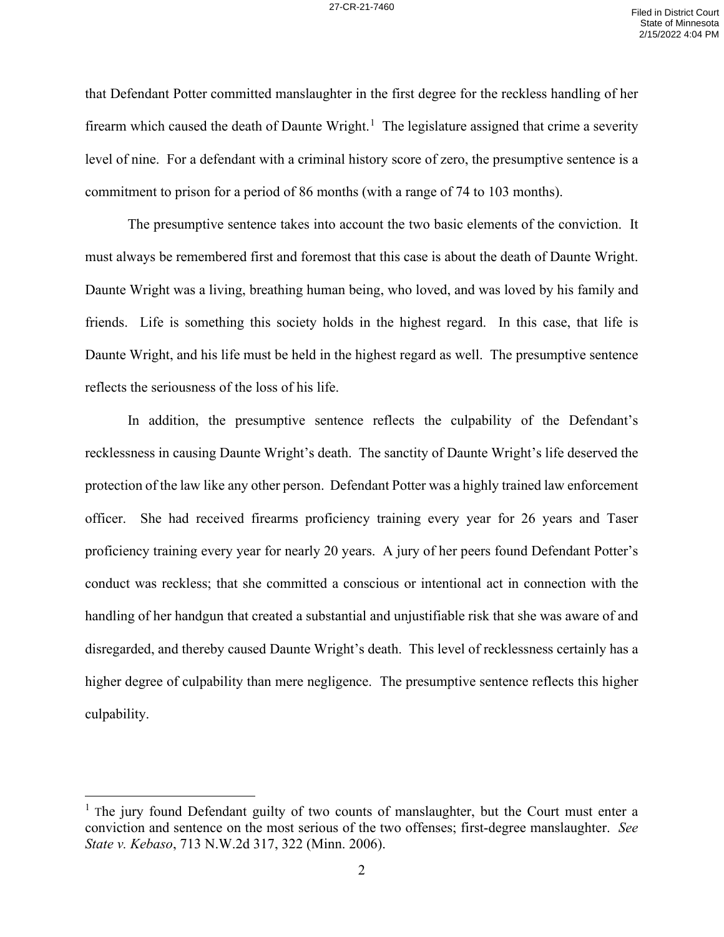that Defendant Potter committed manslaughter in the first degree for the reckless handling of her firearm which caused the death of Daunte Wright.<sup>[1](#page-1-0)</sup> The legislature assigned that crime a severity level of nine. For a defendant with a criminal history score of zero, the presumptive sentence is a commitment to prison for a period of 86 months (with a range of 74 to 103 months).

The presumptive sentence takes into account the two basic elements of the conviction. It must always be remembered first and foremost that this case is about the death of Daunte Wright. Daunte Wright was a living, breathing human being, who loved, and was loved by his family and friends. Life is something this society holds in the highest regard. In this case, that life is Daunte Wright, and his life must be held in the highest regard as well. The presumptive sentence reflects the seriousness of the loss of his life.

In addition, the presumptive sentence reflects the culpability of the Defendant's recklessness in causing Daunte Wright's death. The sanctity of Daunte Wright's life deserved the protection of the law like any other person. Defendant Potter was a highly trained law enforcement officer. She had received firearms proficiency training every year for 26 years and Taser proficiency training every year for nearly 20 years. A jury of her peers found Defendant Potter's conduct was reckless; that she committed a conscious or intentional act in connection with the handling of her handgun that created a substantial and unjustifiable risk that she was aware of and disregarded, and thereby caused Daunte Wright's death. This level of recklessness certainly has a higher degree of culpability than mere negligence. The presumptive sentence reflects this higher culpability.

<span id="page-1-0"></span><sup>&</sup>lt;sup>1</sup> The jury found Defendant guilty of two counts of manslaughter, but the Court must enter a conviction and sentence on the most serious of the two offenses; first-degree manslaughter. *See State v. Kebaso*, 713 N.W.2d 317, 322 (Minn. 2006).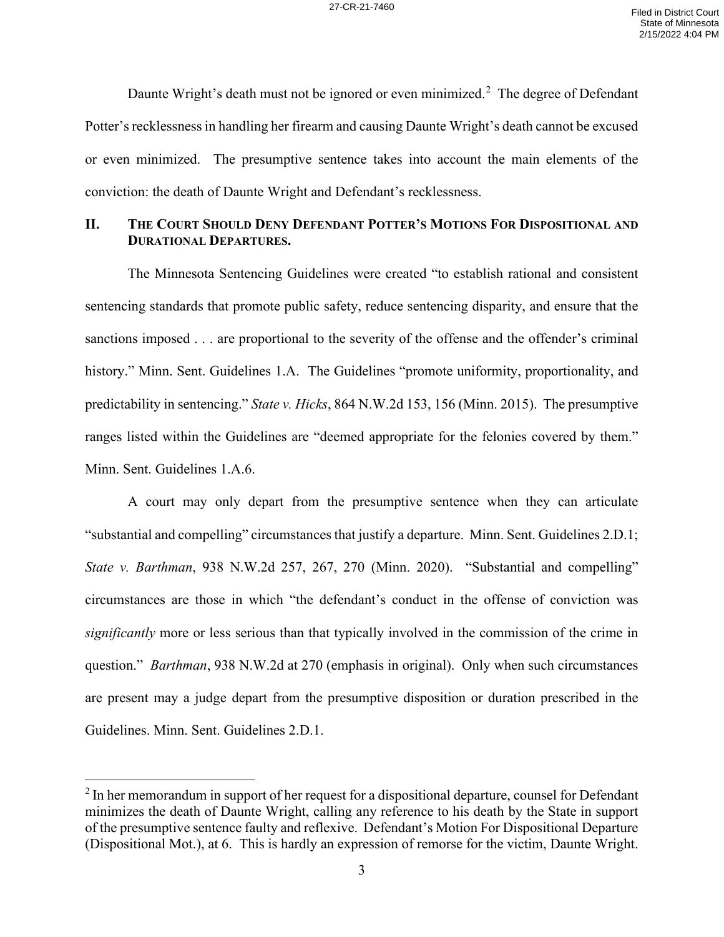Daunte Wright's death must not be ignored or even minimized.<sup>[2](#page-2-0)</sup> The degree of Defendant Potter's recklessness in handling her firearm and causing Daunte Wright's death cannot be excused or even minimized. The presumptive sentence takes into account the main elements of the conviction: the death of Daunte Wright and Defendant's recklessness.

#### **II. THE COURT SHOULD DENY DEFENDANT POTTER'S MOTIONS FOR DISPOSITIONAL AND DURATIONAL DEPARTURES.**

The Minnesota Sentencing Guidelines were created "to establish rational and consistent sentencing standards that promote public safety, reduce sentencing disparity, and ensure that the sanctions imposed . . . are proportional to the severity of the offense and the offender's criminal history." Minn. Sent. Guidelines 1.A. The Guidelines "promote uniformity, proportionality, and predictability in sentencing." *State v. Hicks*, 864 N.W.2d 153, 156 (Minn. 2015). The presumptive ranges listed within the Guidelines are "deemed appropriate for the felonies covered by them." Minn. Sent. Guidelines 1.A.6.

A court may only depart from the presumptive sentence when they can articulate "substantial and compelling" circumstances that justify a departure. Minn. Sent. Guidelines 2.D.1; *State v. Barthman*, 938 N.W.2d 257, 267, 270 (Minn. 2020). "Substantial and compelling" circumstances are those in which "the defendant's conduct in the offense of conviction was *significantly* more or less serious than that typically involved in the commission of the crime in question." *Barthman*, 938 N.W.2d at 270 (emphasis in original). Only when such circumstances are present may a judge depart from the presumptive disposition or duration prescribed in the Guidelines. Minn. Sent. Guidelines 2.D.1.

<span id="page-2-0"></span> $2 \text{ In her memorandum in support of her request for a disposal departure, course for Defendant.}$ minimizes the death of Daunte Wright, calling any reference to his death by the State in support of the presumptive sentence faulty and reflexive. Defendant's Motion For Dispositional Departure (Dispositional Mot.), at 6. This is hardly an expression of remorse for the victim, Daunte Wright.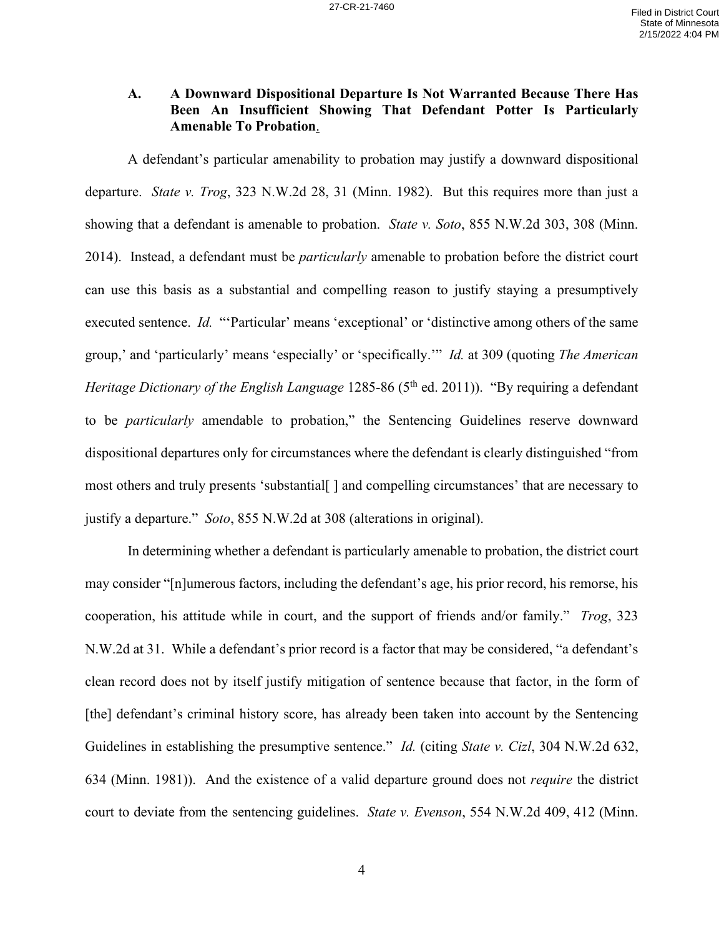### **A. A Downward Dispositional Departure Is Not Warranted Because There Has Been An Insufficient Showing That Defendant Potter Is Particularly Amenable To Probation**.

A defendant's particular amenability to probation may justify a downward dispositional departure. *State v. Trog*, 323 N.W.2d 28, 31 (Minn. 1982). But this requires more than just a showing that a defendant is amenable to probation. *State v. Soto*, 855 N.W.2d 303, 308 (Minn. 2014). Instead, a defendant must be *particularly* amenable to probation before the district court can use this basis as a substantial and compelling reason to justify staying a presumptively executed sentence. *Id.* "'Particular' means 'exceptional' or 'distinctive among others of the same group,' and 'particularly' means 'especially' or 'specifically.'" *Id.* at 309 (quoting *The American Heritage Dictionary of the English Language* 1285-86 (5<sup>th</sup> ed. 2011)). "By requiring a defendant to be *particularly* amendable to probation," the Sentencing Guidelines reserve downward dispositional departures only for circumstances where the defendant is clearly distinguished "from most others and truly presents 'substantial[ ] and compelling circumstances' that are necessary to justify a departure." *Soto*, 855 N.W.2d at 308 (alterations in original).

In determining whether a defendant is particularly amenable to probation, the district court may consider "[n]umerous factors, including the defendant's age, his prior record, his remorse, his cooperation, his attitude while in court, and the support of friends and/or family." *Trog*, 323 N.W.2d at 31. While a defendant's prior record is a factor that may be considered, "a defendant's clean record does not by itself justify mitigation of sentence because that factor, in the form of [the] defendant's criminal history score, has already been taken into account by the Sentencing Guidelines in establishing the presumptive sentence." *Id.* (citing *State v. Cizl*, 304 N.W.2d 632, 634 (Minn. 1981)). And the existence of a valid departure ground does not *require* the district court to deviate from the sentencing guidelines. *State v. Evenson*, 554 N.W.2d 409, 412 (Minn.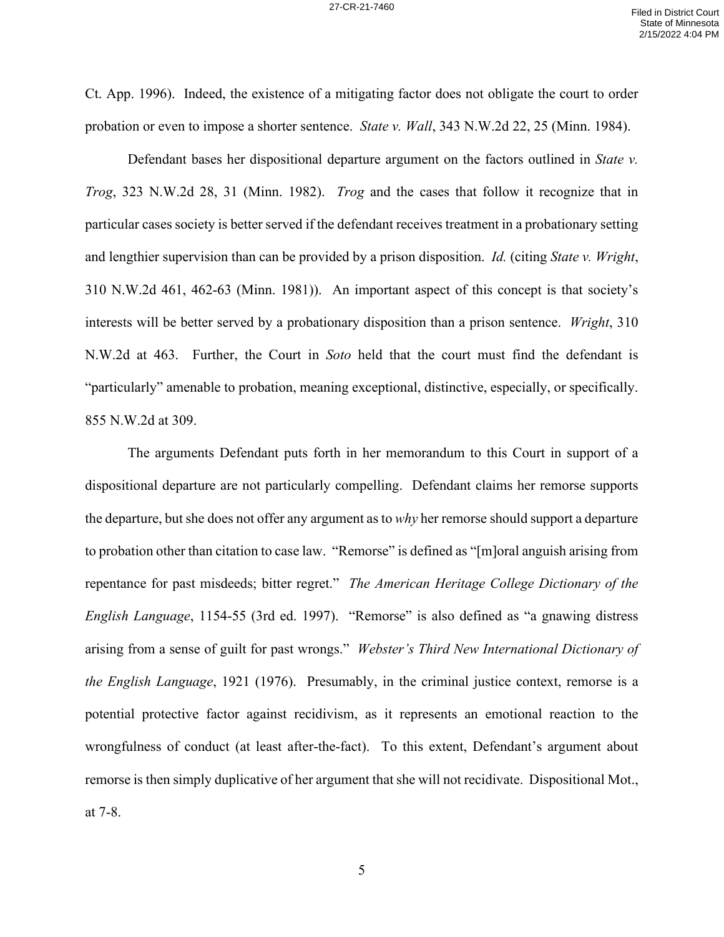Ct. App. 1996). Indeed, the existence of a mitigating factor does not obligate the court to order probation or even to impose a shorter sentence. *State v. Wall*, 343 N.W.2d 22, 25 (Minn. 1984).

Defendant bases her dispositional departure argument on the factors outlined in *State v. Trog*, 323 N.W.2d 28, 31 (Minn. 1982). *Trog* and the cases that follow it recognize that in particular cases society is better served if the defendant receives treatment in a probationary setting and lengthier supervision than can be provided by a prison disposition. *Id.* (citing *State v. Wright*, 310 N.W.2d 461, 462-63 (Minn. 1981)). An important aspect of this concept is that society's interests will be better served by a probationary disposition than a prison sentence. *Wright*, 310 N.W.2d at 463. Further, the Court in *Soto* held that the court must find the defendant is "particularly" amenable to probation, meaning exceptional, distinctive, especially, or specifically. 855 N.W.2d at 309.

The arguments Defendant puts forth in her memorandum to this Court in support of a dispositional departure are not particularly compelling. Defendant claims her remorse supports the departure, but she does not offer any argument as to *why* her remorse should support a departure to probation other than citation to case law. "Remorse" is defined as "[m]oral anguish arising from repentance for past misdeeds; bitter regret." *The American Heritage College Dictionary of the English Language*, 1154-55 (3rd ed. 1997). "Remorse" is also defined as "a gnawing distress arising from a sense of guilt for past wrongs." *Webster's Third New International Dictionary of the English Language*, 1921 (1976). Presumably, in the criminal justice context, remorse is a potential protective factor against recidivism, as it represents an emotional reaction to the wrongfulness of conduct (at least after-the-fact). To this extent, Defendant's argument about remorse is then simply duplicative of her argument that she will not recidivate. Dispositional Mot., at 7-8.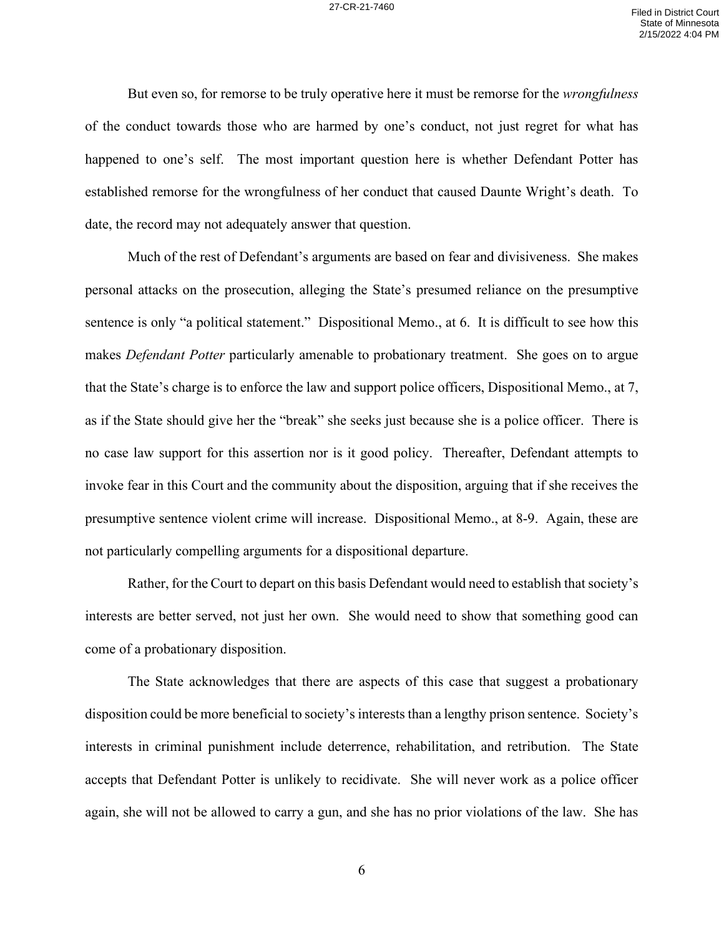But even so, for remorse to be truly operative here it must be remorse for the *wrongfulness* of the conduct towards those who are harmed by one's conduct, not just regret for what has happened to one's self. The most important question here is whether Defendant Potter has established remorse for the wrongfulness of her conduct that caused Daunte Wright's death. To date, the record may not adequately answer that question.

Much of the rest of Defendant's arguments are based on fear and divisiveness. She makes personal attacks on the prosecution, alleging the State's presumed reliance on the presumptive sentence is only "a political statement." Dispositional Memo., at 6. It is difficult to see how this makes *Defendant Potter* particularly amenable to probationary treatment. She goes on to argue that the State's charge is to enforce the law and support police officers, Dispositional Memo., at 7, as if the State should give her the "break" she seeks just because she is a police officer. There is no case law support for this assertion nor is it good policy. Thereafter, Defendant attempts to invoke fear in this Court and the community about the disposition, arguing that if she receives the presumptive sentence violent crime will increase. Dispositional Memo., at 8-9. Again, these are not particularly compelling arguments for a dispositional departure.

Rather, for the Court to depart on this basis Defendant would need to establish that society's interests are better served, not just her own. She would need to show that something good can come of a probationary disposition.

The State acknowledges that there are aspects of this case that suggest a probationary disposition could be more beneficial to society's interests than a lengthy prison sentence. Society's interests in criminal punishment include deterrence, rehabilitation, and retribution. The State accepts that Defendant Potter is unlikely to recidivate. She will never work as a police officer again, she will not be allowed to carry a gun, and she has no prior violations of the law. She has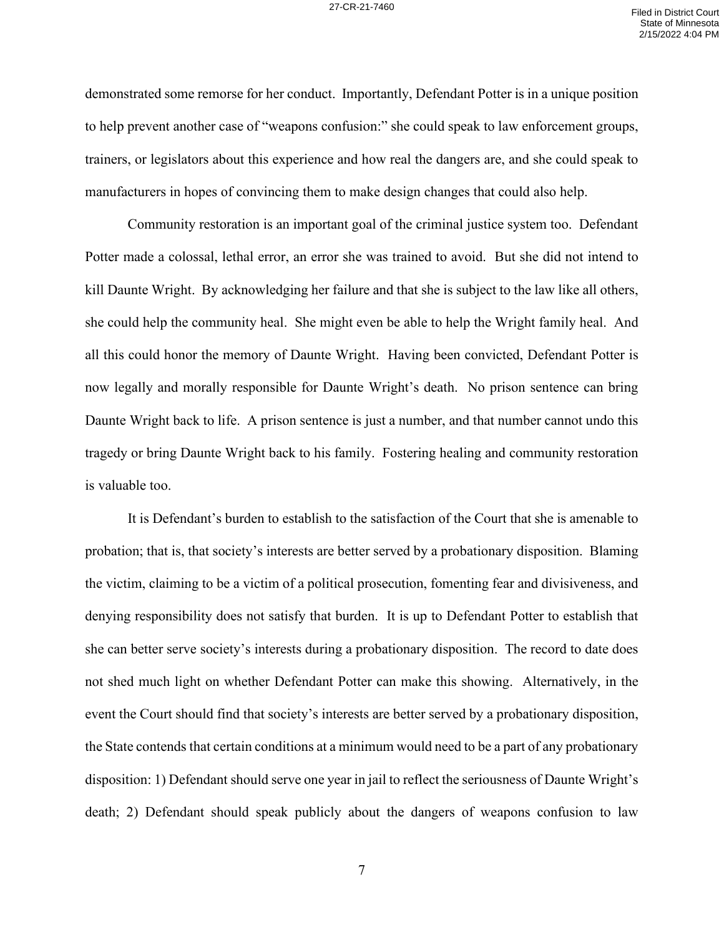demonstrated some remorse for her conduct. Importantly, Defendant Potter is in a unique position to help prevent another case of "weapons confusion:" she could speak to law enforcement groups, trainers, or legislators about this experience and how real the dangers are, and she could speak to manufacturers in hopes of convincing them to make design changes that could also help.

Community restoration is an important goal of the criminal justice system too. Defendant Potter made a colossal, lethal error, an error she was trained to avoid. But she did not intend to kill Daunte Wright. By acknowledging her failure and that she is subject to the law like all others, she could help the community heal. She might even be able to help the Wright family heal. And all this could honor the memory of Daunte Wright. Having been convicted, Defendant Potter is now legally and morally responsible for Daunte Wright's death. No prison sentence can bring Daunte Wright back to life. A prison sentence is just a number, and that number cannot undo this tragedy or bring Daunte Wright back to his family. Fostering healing and community restoration is valuable too.

It is Defendant's burden to establish to the satisfaction of the Court that she is amenable to probation; that is, that society's interests are better served by a probationary disposition. Blaming the victim, claiming to be a victim of a political prosecution, fomenting fear and divisiveness, and denying responsibility does not satisfy that burden. It is up to Defendant Potter to establish that she can better serve society's interests during a probationary disposition. The record to date does not shed much light on whether Defendant Potter can make this showing. Alternatively, in the event the Court should find that society's interests are better served by a probationary disposition, the State contends that certain conditions at a minimum would need to be a part of any probationary disposition: 1) Defendant should serve one year in jail to reflect the seriousness of Daunte Wright's death; 2) Defendant should speak publicly about the dangers of weapons confusion to law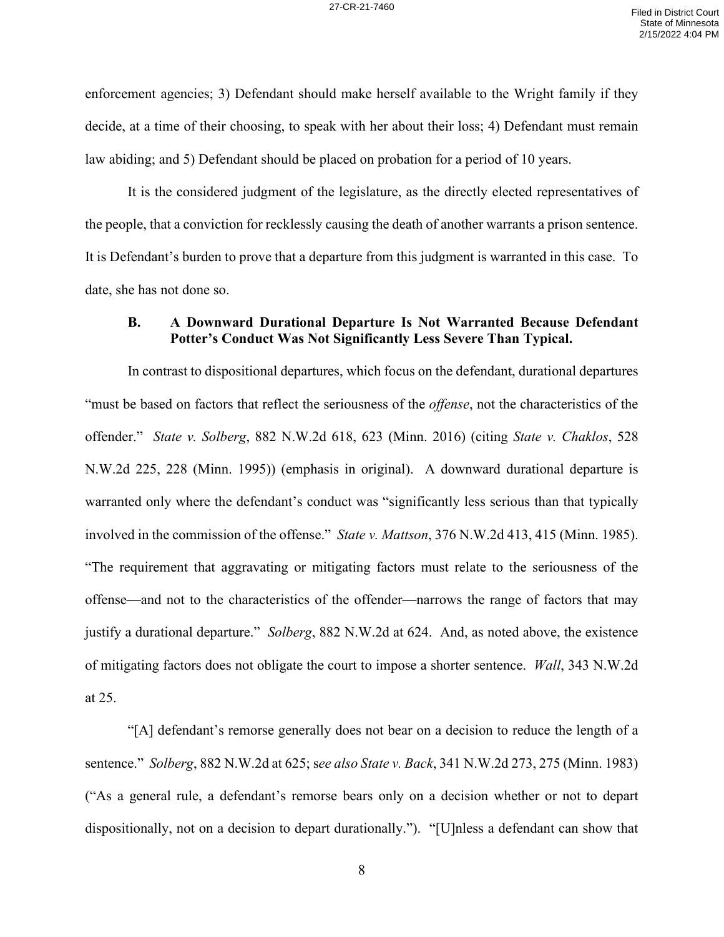enforcement agencies; 3) Defendant should make herself available to the Wright family if they decide, at a time of their choosing, to speak with her about their loss; 4) Defendant must remain law abiding; and 5) Defendant should be placed on probation for a period of 10 years.

It is the considered judgment of the legislature, as the directly elected representatives of the people, that a conviction for recklessly causing the death of another warrants a prison sentence. It is Defendant's burden to prove that a departure from this judgment is warranted in this case. To date, she has not done so.

#### **B. A Downward Durational Departure Is Not Warranted Because Defendant Potter's Conduct Was Not Significantly Less Severe Than Typical.**

In contrast to dispositional departures, which focus on the defendant, durational departures "must be based on factors that reflect the seriousness of the *offense*, not the characteristics of the offender." *State v. Solberg*, 882 N.W.2d 618, 623 (Minn. 2016) (citing *State v. Chaklos*, 528 N.W.2d 225, 228 (Minn. 1995)) (emphasis in original). A downward durational departure is warranted only where the defendant's conduct was "significantly less serious than that typically involved in the commission of the offense." *State v. Mattson*, 376 N.W.2d 413, 415 (Minn. 1985). "The requirement that aggravating or mitigating factors must relate to the seriousness of the offense—and not to the characteristics of the offender—narrows the range of factors that may justify a durational departure." *Solberg*, 882 N.W.2d at 624. And, as noted above, the existence of mitigating factors does not obligate the court to impose a shorter sentence. *Wall*, 343 N.W.2d at 25.

"[A] defendant's remorse generally does not bear on a decision to reduce the length of a sentence." *Solberg*, 882 N.W.2d at 625; s*ee also State v. Back*, 341 N.W.2d 273, 275 (Minn. 1983) ("As a general rule, a defendant's remorse bears only on a decision whether or not to depart dispositionally, not on a decision to depart durationally."). "[U]nless a defendant can show that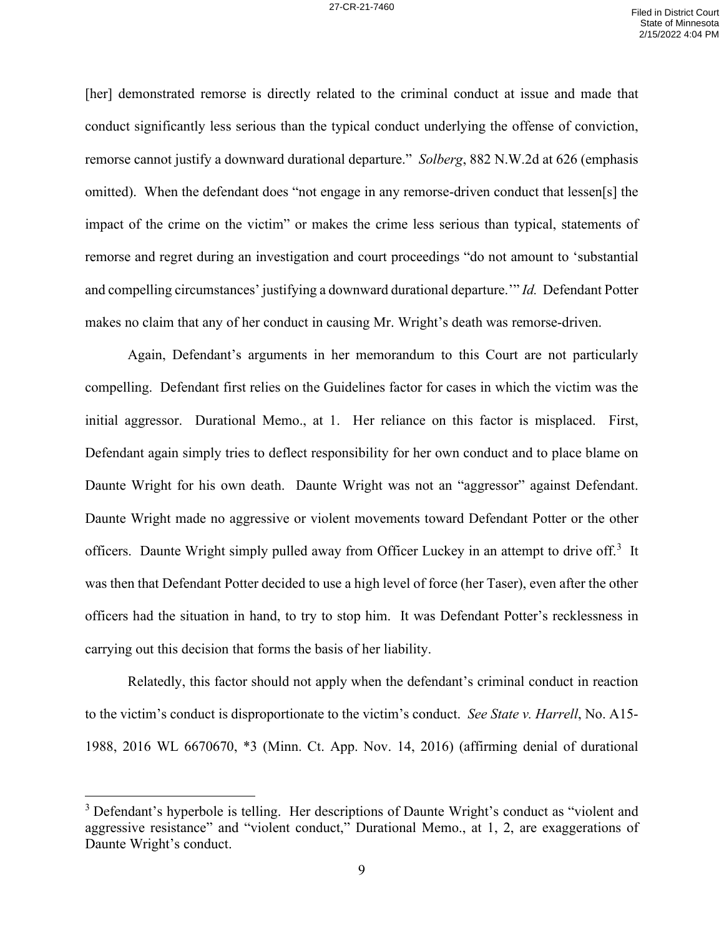[her] demonstrated remorse is directly related to the criminal conduct at issue and made that conduct significantly less serious than the typical conduct underlying the offense of conviction, remorse cannot justify a downward durational departure." *Solberg*, 882 N.W.2d at 626 (emphasis omitted). When the defendant does "not engage in any remorse-driven conduct that lessen[s] the impact of the crime on the victim" or makes the crime less serious than typical, statements of remorse and regret during an investigation and court proceedings "do not amount to 'substantial and compelling circumstances' justifying a downward durational departure.'" *Id.* Defendant Potter makes no claim that any of her conduct in causing Mr. Wright's death was remorse-driven.

Again, Defendant's arguments in her memorandum to this Court are not particularly compelling. Defendant first relies on the Guidelines factor for cases in which the victim was the initial aggressor. Durational Memo., at 1. Her reliance on this factor is misplaced. First, Defendant again simply tries to deflect responsibility for her own conduct and to place blame on Daunte Wright for his own death. Daunte Wright was not an "aggressor" against Defendant. Daunte Wright made no aggressive or violent movements toward Defendant Potter or the other officers. Daunte Wright simply pulled away from Officer Luckey in an attempt to drive off.<sup>[3](#page-8-0)</sup> It was then that Defendant Potter decided to use a high level of force (her Taser), even after the other officers had the situation in hand, to try to stop him. It was Defendant Potter's recklessness in carrying out this decision that forms the basis of her liability.

Relatedly, this factor should not apply when the defendant's criminal conduct in reaction to the victim's conduct is disproportionate to the victim's conduct. *See State v. Harrell*, No. A15- 1988, 2016 WL 6670670, \*3 (Minn. Ct. App. Nov. 14, 2016) (affirming denial of durational

<span id="page-8-0"></span><sup>&</sup>lt;sup>3</sup> Defendant's hyperbole is telling. Her descriptions of Daunte Wright's conduct as "violent and aggressive resistance" and "violent conduct," Durational Memo., at 1, 2, are exaggerations of Daunte Wright's conduct.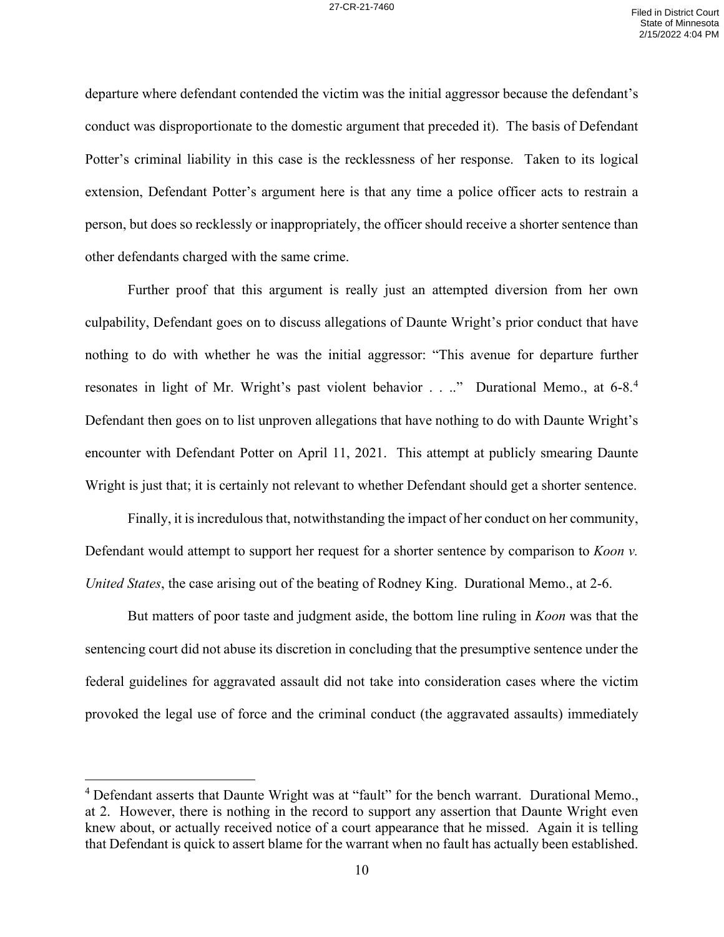departure where defendant contended the victim was the initial aggressor because the defendant's conduct was disproportionate to the domestic argument that preceded it). The basis of Defendant Potter's criminal liability in this case is the recklessness of her response. Taken to its logical extension, Defendant Potter's argument here is that any time a police officer acts to restrain a person, but does so recklessly or inappropriately, the officer should receive a shorter sentence than other defendants charged with the same crime.

Further proof that this argument is really just an attempted diversion from her own culpability, Defendant goes on to discuss allegations of Daunte Wright's prior conduct that have nothing to do with whether he was the initial aggressor: "This avenue for departure further resonates in light of Mr. Wright's past violent behavior . . .." Durational Memo., at 6-8.<sup>[4](#page-9-0)</sup> Defendant then goes on to list unproven allegations that have nothing to do with Daunte Wright's encounter with Defendant Potter on April 11, 2021. This attempt at publicly smearing Daunte Wright is just that; it is certainly not relevant to whether Defendant should get a shorter sentence.

Finally, it is incredulous that, notwithstanding the impact of her conduct on her community, Defendant would attempt to support her request for a shorter sentence by comparison to *Koon v. United States*, the case arising out of the beating of Rodney King. Durational Memo., at 2-6.

But matters of poor taste and judgment aside, the bottom line ruling in *Koon* was that the sentencing court did not abuse its discretion in concluding that the presumptive sentence under the federal guidelines for aggravated assault did not take into consideration cases where the victim provoked the legal use of force and the criminal conduct (the aggravated assaults) immediately

<span id="page-9-0"></span> $4$  Defendant asserts that Daunte Wright was at "fault" for the bench warrant. Durational Memo., at 2. However, there is nothing in the record to support any assertion that Daunte Wright even knew about, or actually received notice of a court appearance that he missed. Again it is telling that Defendant is quick to assert blame for the warrant when no fault has actually been established.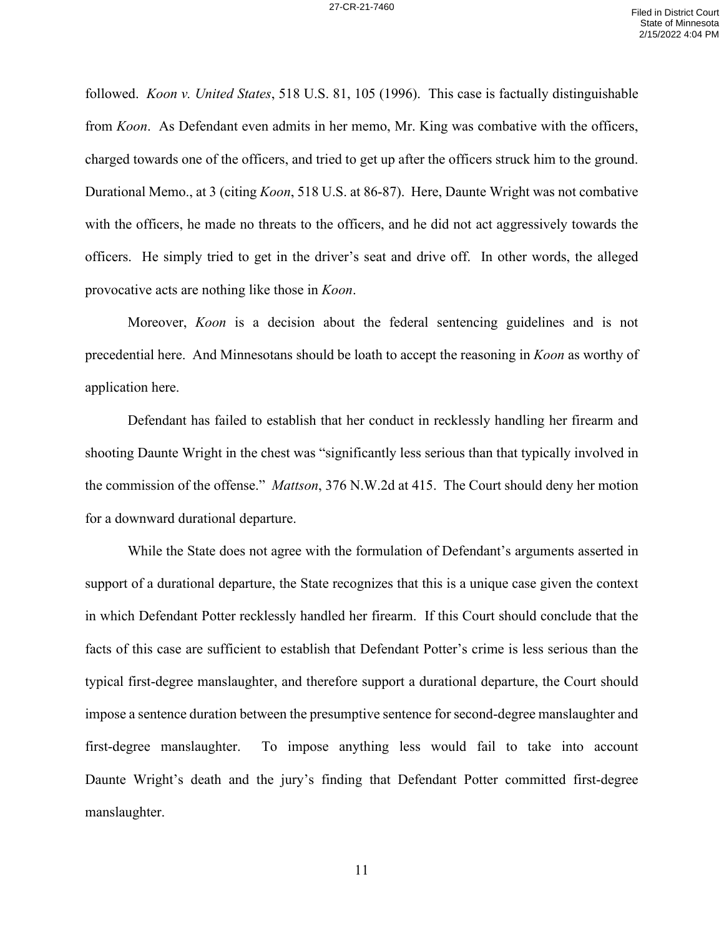followed. *Koon v. United States*, 518 U.S. 81, 105 (1996). This case is factually distinguishable from *Koon*. As Defendant even admits in her memo, Mr. King was combative with the officers, charged towards one of the officers, and tried to get up after the officers struck him to the ground. Durational Memo., at 3 (citing *Koon*, 518 U.S. at 86-87). Here, Daunte Wright was not combative with the officers, he made no threats to the officers, and he did not act aggressively towards the officers. He simply tried to get in the driver's seat and drive off. In other words, the alleged provocative acts are nothing like those in *Koon*.

Moreover, *Koon* is a decision about the federal sentencing guidelines and is not precedential here. And Minnesotans should be loath to accept the reasoning in *Koon* as worthy of application here.

Defendant has failed to establish that her conduct in recklessly handling her firearm and shooting Daunte Wright in the chest was "significantly less serious than that typically involved in the commission of the offense." *Mattson*, 376 N.W.2d at 415. The Court should deny her motion for a downward durational departure.

While the State does not agree with the formulation of Defendant's arguments asserted in support of a durational departure, the State recognizes that this is a unique case given the context in which Defendant Potter recklessly handled her firearm. If this Court should conclude that the facts of this case are sufficient to establish that Defendant Potter's crime is less serious than the typical first-degree manslaughter, and therefore support a durational departure, the Court should impose a sentence duration between the presumptive sentence for second-degree manslaughter and first-degree manslaughter. To impose anything less would fail to take into account Daunte Wright's death and the jury's finding that Defendant Potter committed first-degree manslaughter.